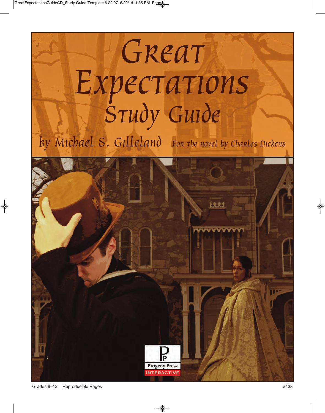# Great Expectations

by Michael S. Gilleland For the novel by Charles Dickens

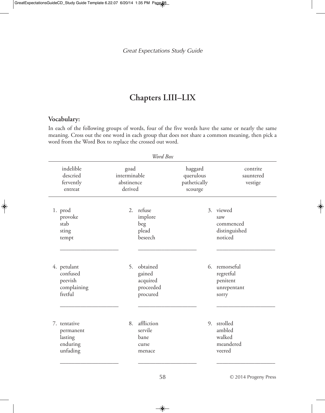# **Chapters LIII–LIX**

# **Vocabulary:**

In each of the following groups of words, four of the five words have the same or nearly the same meaning. Cross out the one word in each group that does not share a common meaning, then pick a word from the Word Box to replace the crossed out word.

| Word Box                          |                                               |                                               |                                                         |                                                 |    |                                                             |  |  |  |
|-----------------------------------|-----------------------------------------------|-----------------------------------------------|---------------------------------------------------------|-------------------------------------------------|----|-------------------------------------------------------------|--|--|--|
|                                   | indelible<br>descried<br>fervently<br>entreat | goad<br>interminable<br>abstinence<br>derived |                                                         | haggard<br>querulous<br>pathetically<br>scourge |    | contrite<br>sauntered<br>vestige                            |  |  |  |
| 1. prod<br>stab<br>sting<br>tempt | provoke                                       | 2.                                            | refuse<br>implore<br>beg<br>plead<br>beseech            |                                                 |    | 3. viewed<br>saw<br>commenced<br>distinguished<br>noticed   |  |  |  |
| 4. petulant                       | confused<br>peevish<br>complaining<br>fretful | 5.                                            | obtained<br>gained<br>acquired<br>proceeded<br>procured |                                                 | 6. | remorseful<br>regretful<br>penitent<br>unrepentant<br>sorry |  |  |  |
| 7. tentative                      | permanent<br>lasting<br>enduring<br>unfading  | 8.                                            | affliction<br>servile<br>bane<br>curse<br>menace        |                                                 | 9. | strolled<br>ambled<br>walked<br>meandered<br>veered         |  |  |  |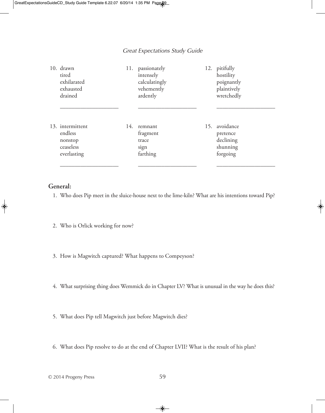| 10. drawn<br>tired<br>exhilarated<br>exhausted<br>drained          | 11. | passionately<br>intensely<br>calculatingly<br>vehemently<br>ardently | 12. | pitifully<br>hostility<br>poignantly<br>plaintively<br>wretchedly |
|--------------------------------------------------------------------|-----|----------------------------------------------------------------------|-----|-------------------------------------------------------------------|
| 13. intermittent<br>endless<br>nonstop<br>ceaseless<br>everlasting | 14. | remnant<br>fragment<br>trace<br>sign<br>farthing                     |     | 15. avoidance<br>pretence<br>declining<br>shunning<br>forgoing    |

# **General:**

- 1. Who does Pip meet in the sluice-house next to the lime-kiln? What are his intentions toward Pip?
- 2. Who is Orlick working for now?
- 3. How is Magwitch captured? What happens to Compeyson?
- 4. What surprising thing does Wemmick do in Chapter LV? What is unusual in the way he does this?
- 5. What does Pip tell Magwitch just before Magwitch dies?
- 6. What does Pip resolve to do at the end of Chapter LVII? What is the result of his plan?
- © 2014 Progeny Press 59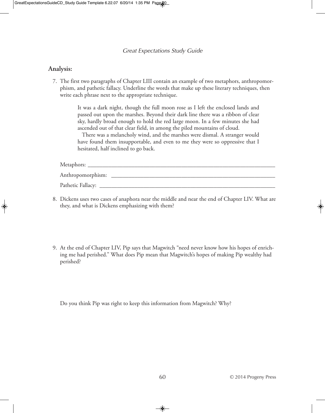### **Analysis:**

7. The first two paragraphs of Chapter LIII contain an example of two metaphors, anthropomorphism, and pathetic fallacy. Underline the words that make up these literary techniques, then write each phrase next to the appropriate technique.

> It was a dark night, though the full moon rose as I left the enclosed lands and passed out upon the marshes. Beyond their dark line there was a ribbon of clear sky, hardly broad enough to hold the red large moon. In a few minutes she had ascended out of that clear field, in among the piled mountains of cloud.

> There was a melancholy wind, and the marshes were dismal. A stranger would have found them insupportable, and even to me they were so oppressive that I hesitated, half inclined to go back.

Metaphors: \_\_\_\_\_\_\_\_\_\_\_\_\_\_\_\_\_\_\_\_\_\_\_\_\_\_\_\_\_\_\_\_\_\_\_\_\_\_\_\_\_\_\_\_\_\_\_\_\_\_\_\_\_\_\_\_\_\_\_\_\_\_\_\_

Anthropomorphism: \_\_\_\_\_\_\_\_\_\_\_\_\_\_\_\_\_\_\_\_\_\_\_\_\_\_\_\_\_\_\_\_\_\_\_\_\_\_\_\_\_\_\_\_\_\_\_\_\_\_\_\_\_\_\_\_

Pathetic Fallacy:

- 8. Dickens uses two cases of anaphora near the middle and near the end of Chapter LIV. What are they, and what is Dickens emphasizing with them?
- 9. At the end of Chapter LIV, Pip says that Magwitch "need never know how his hopes of enriching me had perished." What does Pip mean that Magwitch's hopes of making Pip wealthy had perished?

Do you think Pip was right to keep this information from Magwitch? Why?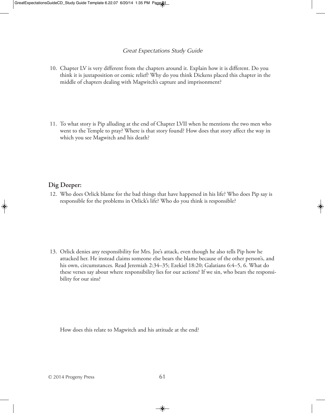- 10. Chapter LV is very different from the chapters around it. Explain how it is different. Do you think it is juxtaposition or comic relief? Why do you think Dickens placed this chapter in the middle of chapters dealing with Magwitch's capture and imprisonment?
- 11. To what story is Pip alluding at the end of Chapter LVII when he mentions the two men who went to the Temple to pray? Where is that story found? How does that story affect the way in which you see Magwitch and his death?

### **Dig Deeper:**

12. Who does Orlick blame for the bad things that have happened in his life? Who does Pip say is responsible for the problems in Orlick's life? Who do you think is responsible?

13. Orlick denies any responsibility for Mrs. Joe's attack, even though he also tells Pip how he attacked her. He instead claims someone else bears the blame because of the other person's, and his own, circumstances. Read Jeremiah 2:34–35; Ezekiel 18:20; Galatians 6:4–5, 6. What do these verses say about where responsibility lies for our actions? If we sin, who bears the responsibility for our sins?

How does this relate to Magwitch and his attitude at the end?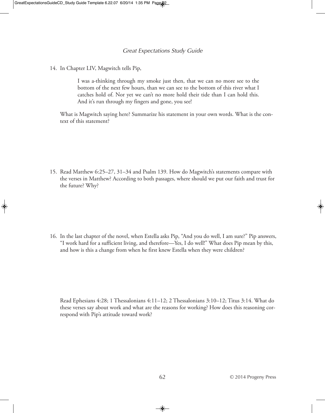14. In Chapter LIV, Magwitch tells Pip,

I was a-thinking through my smoke just then, that we can no more see to the bottom of the next few hours, than we can see to the bottom of this river what I catches hold of. Nor yet we can't no more hold their tide than I can hold this. And it's run through my fingers and gone, you see!

What is Magwitch saying here? Summarize his statement in your own words. What is the context of this statement?

15. Read Matthew 6:25–27, 31–34 and Psalm 139. How do Magwitch's statements compare with the verses in Matthew? According to both passages, where should we put our faith and trust for the future? Why?

16. In the last chapter of the novel, when Estella asks Pip, "And you do well, I am sure?" Pip answers, "I work hard for a sufficient living, and therefore—Yes, I do well!" What does Pip mean by this, and how is this a change from when he first knew Estella when they were children?

Read Ephesians 4:28; 1 Thessalonians 4:11–12; 2 Thessalonians 3:10–12; Titus 3:14. What do these verses say about work and what are the reasons for working? How does this reasoning correspond with Pip's attitude toward work?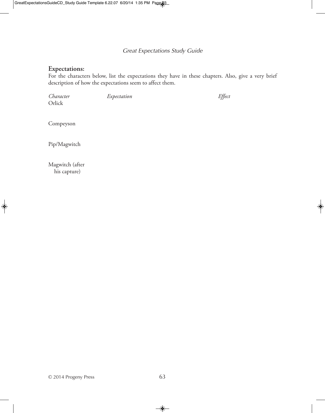# **Expectations:**

For the characters below, list the expectations they have in these chapters. Also, give a very brief description of how the expectations seem to affect them.

*Character Expectation Effect* Orlick

Compeyson

Pip/Magwitch

Magwitch (after his capture)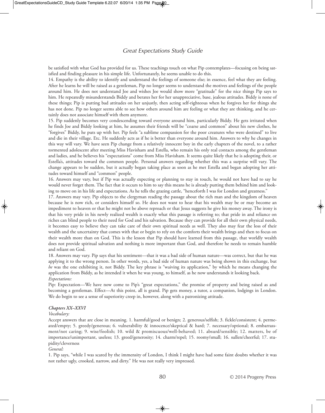be satisfied with what God has provided for us. These teachings touch on what Pip contemplates—focusing on being satisfied and finding pleasure in his simple life. Unfortunately, he seems unable to do this.

14. Empathy is the ability to identify and understand the feelings of someone else; in essence, feel what they are feeling. After he learns he will be raised as a gentleman, Pip no longer seems to understand the motives and feelings of the people around him. He does not understand Joe and wishes Joe would show more "gratitude" for the nice things Pip says to him. He repeatedly misunderstands Biddy and berates her for her unappreciative, base, jealous attitudes. Biddy is none of these things; Pip is putting bad attitudes on her unjustly, then acting self-righteous when he forgives her for things she has not done. Pip no longer seems able to see how others around him are feeling or what they are thinking, and he certainly does not associate himself with them anymore.

15. Pip suddenly becomes very condescending toward everyone around him, particularly Biddy. He gets irritated when he finds Joe and Biddy looking at him, he assumes their friends will be "coarse and common" about his new clothes, he "forgives" Biddy, he puts up with her. Pip feels "a sublime compassion for the poor creatures who were destined" to live and die in their village. Etc. He suddenly acts as if he is better than everyone around him. Answers to why he changes in this way will vary. We have seen Pip change from a relatively innocent boy in the early chapters of the novel, to a rather tormented adolescent after meeting Miss Havisham and Estella, who remain his only real contacts among the gentleman and ladies, and he believes his "expectations" come from Miss Havisham. It seems quite likely that he is adopting their, or Estella's, attitudes toward the common people. Personal answers regarding whether this was a surprise will vary. The change appears to be sudden, but it actually began taking place as soon as he met Estella and began adopting her attitudes toward himself and "common" people.

16. Answers may vary, but if Pip was actually expecting or planning to stay in touch, he would not have had to say he would never forget them. The fact that it occurs to him to say this means he is already putting them behind him and looking to move on in his life and expectations. As he tells the grazing cattle, "henceforth I was for London and greatness."

17. Answers may vary. Pip objects to the clergyman reading the passage about the rich man and the kingdom of heaven because he is now rich, or considers himself so. He does not want to hear that his wealth may be or may become an impediment to heaven or that he might not be above reproach or that Jesus suggests he give his money away. The irony is that his very pride in his newly realized wealth is exactly what this passage is referring to; that pride in and reliance on riches can blind people to their need for God and his salvation. Because they can provide for all their own physical needs, it becomes easy to believe they can take care of their own spiritual needs as well. They also may fear the loss of their wealth and the uncertainty that comes with that or begin to rely on the comforts their wealth brings and then to focus on their wealth more than on God. This is the lesson that Pip should have learned from this passage, that worldly wealth does not provide spiritual salvation and nothing is more important than God, and therefore he needs to remain humble and reliant on God.

18. Answers may vary. Pip says that his sentiment—that it was a bad side of human nature—was correct, but that he was applying it to the wrong person. In other words, yes, a bad side of human nature was being shown in this exchange, but *he* was the one exhibiting it, not Biddy. The key phrase is "waiving its application," by which he means changing the application from Biddy, as he intended it when he was young, to himself, as he now understands it looking back. *Expectations:*

Pip: Expectation—We have now come to Pip's "great expectations," the promise of property and being raised as and becoming a gentleman. Effect—At this point, all is grand. Pip gets money, a tutor, a companion, lodgings in London. We do begin to see a sense of superiority creep in, however, along with a patronizing attitude.

### *Chapters XX–XXVI*

### *Vocabulary:*

Accept answers that are close in meaning. 1. harmful/good or benign; 2. generous/selfish; 3. fickle/consistent; 4. permeated/empty; 5. greedy/generous; 6. vulnerability & innocence/skeptical & hard; 7. necessary/optional; 8. embarrassment/not caring; 9. wise/foolish; 10. wild & promiscuous/well-behaved; 11. absurd/sensible; 12. matters, be of importance/unimportant, useless; 13. greed/generosity; 14. charm/repel; 15. roomy/small; 16. sullen/cheerful; 17. stupidity/cleverness

### *General:*

1. Pip says, "while I was scared by the immensity of London, I think I might have had some faint doubts whether it was not rather ugly, crooked, narrow, and dirty." He was not really very impressed.